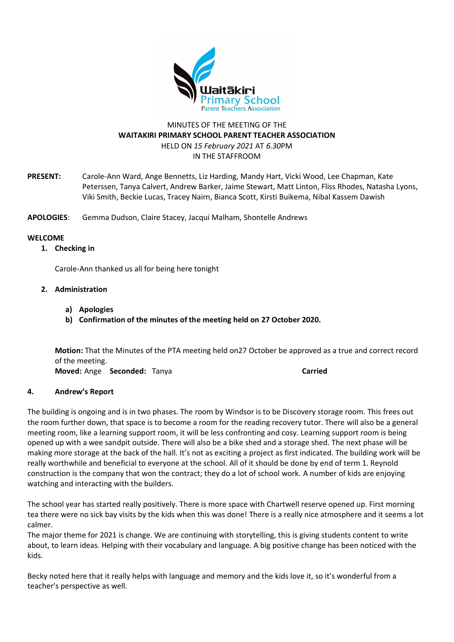

# MINUTES OF THE MEETING OF THE **WAITAKIRI PRIMARY SCHOOL PARENT TEACHER ASSOCIATION** HELD ON *15 February 2021* AT *6.30*PM IN THE STAFFROOM

**PRESENT:** Carole-Ann Ward, Ange Bennetts, Liz Harding, Mandy Hart, Vicki Wood, Lee Chapman, Kate Peterssen, Tanya Calvert, Andrew Barker, Jaime Stewart, Matt Linton, Fliss Rhodes, Natasha Lyons, Viki Smith, Beckie Lucas, Tracey Nairn, Bianca Scott, Kirsti Buikema, Nibal Kassem Dawish

**APOLOGIES**: Gemma Dudson, Claire Stacey, Jacqui Malham, Shontelle Andrews

## **WELCOME**

**1. Checking in**

Carole-Ann thanked us all for being here tonight

# **2. Administration**

- **a) Apologies**
- **b) Confirmation of the minutes of the meeting held on 27 October 2020.**

**Motion:** That the Minutes of the PTA meeting held on27 October be approved as a true and correct record of the meeting. **Moved:** Ange **Seconded:** Tanya **Carried** 

## **4. Andrew's Report**

The building is ongoing and is in two phases. The room by Windsor is to be Discovery storage room. This frees out the room further down, that space is to become a room for the reading recovery tutor. There will also be a general meeting room, like a learning support room, it will be less confronting and cosy. Learning support room is being opened up with a wee sandpit outside. There will also be a bike shed and a storage shed. The next phase will be making more storage at the back of the hall. It's not as exciting a project as first indicated. The building work will be really worthwhile and beneficial to everyone at the school. All of it should be done by end of term 1. Reynold construction is the company that won the contract; they do a lot of school work. A number of kids are enjoying watching and interacting with the builders.

The school year has started really positively. There is more space with Chartwell reserve opened up. First morning tea there were no sick bay visits by the kids when this was done! There is a really nice atmosphere and it seems a lot calmer.

The major theme for 2021 is change. We are continuing with storytelling, this is giving students content to write about, to learn ideas. Helping with their vocabulary and language. A big positive change has been noticed with the kids.

Becky noted here that it really helps with language and memory and the kids love it, so it's wonderful from a teacher's perspective as well.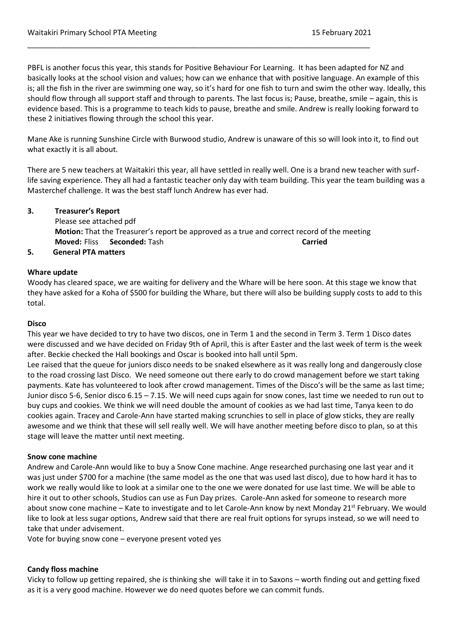PBFL is another focus this year, this stands for Positive Behaviour For Learning. It has been adapted for NZ and basically looks at the school vision and values; how can we enhance that with positive language. An example of this is; all the fish in the river are swimming one way, so it's hard for one fish to turn and swim the other way. Ideally, this should flow through all support staff and through to parents. The last focus is; Pause, breathe, smile – again, this is evidence based. This is a programme to teach kids to pause, breathe and smile. Andrew is really looking forward to these 2 initiatives flowing through the school this year.

\_\_\_\_\_\_\_\_\_\_\_\_\_\_\_\_\_\_\_\_\_\_\_\_\_\_\_\_\_\_\_\_\_\_\_\_\_\_\_\_\_\_\_\_\_\_\_\_\_\_\_\_\_\_\_\_\_\_\_\_\_\_\_\_\_\_\_\_\_\_\_\_\_\_\_\_\_\_\_\_\_\_

Mane Ake is running Sunshine Circle with Burwood studio, Andrew is unaware of this so will look into it, to find out what exactly it is all about.

There are 5 new teachers at Waitakiri this year, all have settled in really well. One is a brand new teacher with surflife saving experience. They all had a fantastic teacher only day with team building. This year the team building was a Masterchef challenge. It was the best staff lunch Andrew has ever had.

# **3. Treasurer's Report**

Please see attached pdf **Motion:** That the Treasurer's report be approved as a true and correct record of the meeting **Moved:** Fliss **Seconded:** Tash **Carried**

# **5. General PTA matters**

## **Whare update**

Woody has cleared space, we are waiting for delivery and the Whare will be here soon. At this stage we know that they have asked for a Koha of \$500 for building the Whare, but there will also be building supply costs to add to this total.

### **Disco**

This year we have decided to try to have two discos, one in Term 1 and the second in Term 3. Term 1 Disco dates were discussed and we have decided on Friday 9th of April, this is after Easter and the last week of term is the week after. Beckie checked the Hall bookings and Oscar is booked into hall until 5pm.

Lee raised that the queue for juniors disco needs to be snaked elsewhere as it was really long and dangerously close to the road crossing last Disco. We need someone out there early to do crowd management before we start taking payments. Kate has volunteered to look after crowd management. Times of the Disco's will be the same as last time; Junior disco 5-6, Senior disco 6.15 – 7.15. We will need cups again for snow cones, last time we needed to run out to buy cups and cookies. We think we will need double the amount of cookies as we had last time, Tanya keen to do cookies again. Tracey and Carole-Ann have started making scrunchies to sell in place of glow sticks, they are really awesome and we think that these will sell really well. We will have another meeting before disco to plan, so at this stage will leave the matter until next meeting.

## **Snow cone machine**

Andrew and Carole-Ann would like to buy a Snow Cone machine. Ange researched purchasing one last year and it was just under \$700 for a machine (the same model as the one that was used last disco), due to how hard it has to work we really would like to look at a similar one to the one we were donated for use last time. We will be able to hire it out to other schools, Studios can use as Fun Day prizes. Carole-Ann asked for someone to research more about snow cone machine – Kate to investigate and to let Carole-Ann know by next Monday  $21^{st}$  February. We would like to look at less sugar options, Andrew said that there are real fruit options for syrups instead, so we will need to take that under advisement.

Vote for buying snow cone – everyone present voted yes

## **Candy floss machine**

Vicky to follow up getting repaired, she is thinking she will take it in to Saxons – worth finding out and getting fixed as it is a very good machine. However we do need quotes before we can commit funds.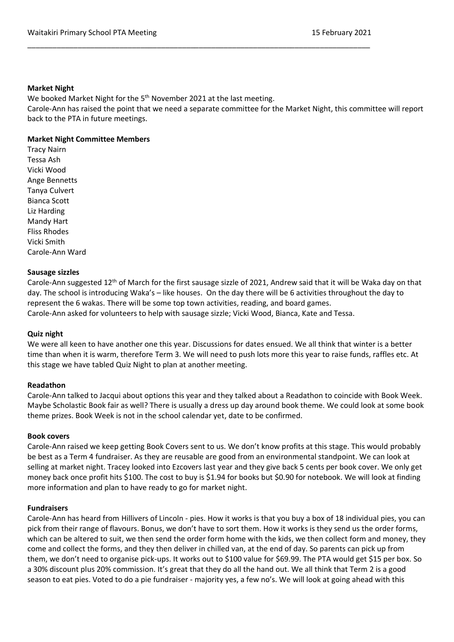### **Market Night**

We booked Market Night for the 5<sup>th</sup> November 2021 at the last meeting.

Carole-Ann has raised the point that we need a separate committee for the Market Night, this committee will report back to the PTA in future meetings.

\_\_\_\_\_\_\_\_\_\_\_\_\_\_\_\_\_\_\_\_\_\_\_\_\_\_\_\_\_\_\_\_\_\_\_\_\_\_\_\_\_\_\_\_\_\_\_\_\_\_\_\_\_\_\_\_\_\_\_\_\_\_\_\_\_\_\_\_\_\_\_\_\_\_\_\_\_\_\_\_\_\_

## **Market Night Committee Members**

Tracy Nairn Tessa Ash Vicki Wood Ange Bennetts Tanya Culvert Bianca Scott Liz Harding Mandy Hart Fliss Rhodes Vicki Smith Carole-Ann Ward

## **Sausage sizzles**

Carole-Ann suggested 12th of March for the first sausage sizzle of 2021, Andrew said that it will be Waka day on that day. The school is introducing Waka's – like houses. On the day there will be 6 activities throughout the day to represent the 6 wakas. There will be some top town activities, reading, and board games. Carole-Ann asked for volunteers to help with sausage sizzle; Vicki Wood, Bianca, Kate and Tessa.

## **Quiz night**

We were all keen to have another one this year. Discussions for dates ensued. We all think that winter is a better time than when it is warm, therefore Term 3. We will need to push lots more this year to raise funds, raffles etc. At this stage we have tabled Quiz Night to plan at another meeting.

## **Readathon**

Carole-Ann talked to Jacqui about options this year and they talked about a Readathon to coincide with Book Week. Maybe Scholastic Book fair as well? There is usually a dress up day around book theme. We could look at some book theme prizes. Book Week is not in the school calendar yet, date to be confirmed.

## **Book covers**

Carole-Ann raised we keep getting Book Covers sent to us. We don't know profits at this stage. This would probably be best as a Term 4 fundraiser. As they are reusable are good from an environmental standpoint. We can look at selling at market night. Tracey looked into Ezcovers last year and they give back 5 cents per book cover. We only get money back once profit hits \$100. The cost to buy is \$1.94 for books but \$0.90 for notebook. We will look at finding more information and plan to have ready to go for market night.

## **Fundraisers**

Carole-Ann has heard from Hillivers of Lincoln - pies. How it works is that you buy a box of 18 individual pies, you can pick from their range of flavours. Bonus, we don't have to sort them. How it works is they send us the order forms, which can be altered to suit, we then send the order form home with the kids, we then collect form and money, they come and collect the forms, and they then deliver in chilled van, at the end of day. So parents can pick up from them, we don't need to organise pick-ups. It works out to \$100 value for \$69.99. The PTA would get \$15 per box. So a 30% discount plus 20% commission. It's great that they do all the hand out. We all think that Term 2 is a good season to eat pies. Voted to do a pie fundraiser - majority yes, a few no's. We will look at going ahead with this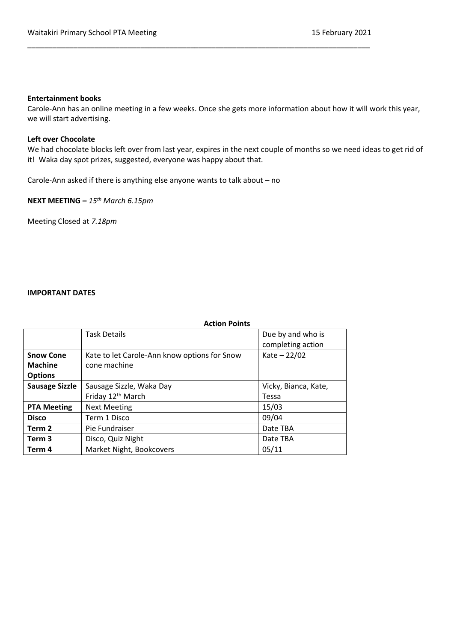### **Entertainment books**

Carole-Ann has an online meeting in a few weeks. Once she gets more information about how it will work this year, we will start advertising.

\_\_\_\_\_\_\_\_\_\_\_\_\_\_\_\_\_\_\_\_\_\_\_\_\_\_\_\_\_\_\_\_\_\_\_\_\_\_\_\_\_\_\_\_\_\_\_\_\_\_\_\_\_\_\_\_\_\_\_\_\_\_\_\_\_\_\_\_\_\_\_\_\_\_\_\_\_\_\_\_\_\_

## **Left over Chocolate**

We had chocolate blocks left over from last year, expires in the next couple of months so we need ideas to get rid of it! Waka day spot prizes, suggested, everyone was happy about that.

Carole-Ann asked if there is anything else anyone wants to talk about – no

**NEXT MEETING –** *15th March 6.15pm*

Meeting Closed at *7.18pm*

#### **IMPORTANT DATES**

|                       | <b>Action Points</b>                         |                      |
|-----------------------|----------------------------------------------|----------------------|
|                       | <b>Task Details</b>                          | Due by and who is    |
|                       |                                              | completing action    |
| <b>Snow Cone</b>      | Kate to let Carole-Ann know options for Snow | $Kate - 22/02$       |
| <b>Machine</b>        | cone machine                                 |                      |
| <b>Options</b>        |                                              |                      |
| <b>Sausage Sizzle</b> | Sausage Sizzle, Waka Day                     | Vicky, Bianca, Kate, |
|                       | Friday 12 <sup>th</sup> March                | Tessa                |
| <b>PTA Meeting</b>    | <b>Next Meeting</b>                          | 15/03                |
| <b>Disco</b>          | Term 1 Disco                                 | 09/04                |
| Term 2                | Pie Fundraiser                               | Date TBA             |
| Term 3                | Disco, Quiz Night                            | Date TBA             |
| Term 4                | Market Night, Bookcovers                     | 05/11                |